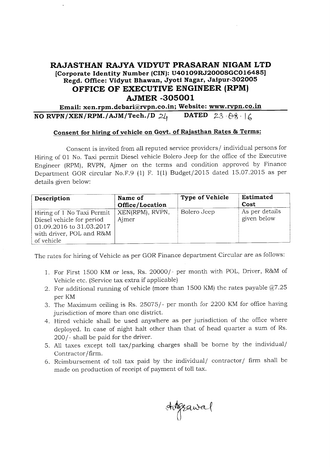## AJMER .3O5OO1 RAJASTHAN RAJYA VIDYUT PRASARAN NIGAM LTD [Corporate Identity Number (CIN): U40109RJ2000SGC016485] Regd. Office: Vidyut Bhawan, Jyott Nagar, Jaipur-3oz00s OFFICE OF EXECUTIVE ENGINEER (RPM)

Email: xen.rpm.debari@rvpn.co.in; Website: www.rvpn.co.in<br>N/XEN/RPM./AJM/Tech./D  $2l_1$  DATED  $23.88.16$ NO RVPN/XEN/RPM./AJM/Tech./D  $2\ell_1$ 

## Consent for hiring of vehicle on Govt. of Raiasthan Rates & Terms:

Consent is invited from all reputed service providers/ individual persons for Hiring of 01 No. Taxi permit Diesel vehicle Bolero Jeep for the office of the Executive Engineer (RPM), RVPN, Ajmer on the terms and condition approved by Finance Department GOR circular No.F.9 (1) F. 1(1) Budget/2015 dated 15.07.2015 as per details given below:

| Description                                                                                                                   | Name of<br>Office/Location | <b>Type of Vehicle</b> | Estimated<br>Cost             |
|-------------------------------------------------------------------------------------------------------------------------------|----------------------------|------------------------|-------------------------------|
| Hiring of 1 No Taxi Permit<br>Diesel vehicle for period<br>01.09.2016 to 31.03.2017<br>with driver, POL and R&M<br>of vehicle | XEN(RPM), RVPN,<br>Aimer   | Bolero Jeep            | As per details<br>given below |

The rates for hiring of Vehicle as per GOR Finance department Circular are as follows:

- 1. For First 1500 KM or less, Rs. 20000/- per month with POL, Driver, R&M of Vehicle etc. (Service tax extra if applicable)
- 2. For additional running of vehicle (more than 1500 KM) the rates payable @7.25 per KM
- 3. The Maximum ceiling is Rs. 25075/- per month for 2200 KM for office having jurisdiction of more than one district.
- 4. Hired vehicle shall be used anywhere as per jurisdiction of the office where deployed. In case of night halt other than that of head quarter a sum of Rs. 200/- shall be paid for the driver.
- 5. A11 taxes except tol1 tax/parking charges shall be borne by the individual/ Contractor/firm.
- 6. Reimbursement of toll tax paid by the individual/ contractor/ firm shall be made on production of receipt of payment of toll tax.

Augeawal